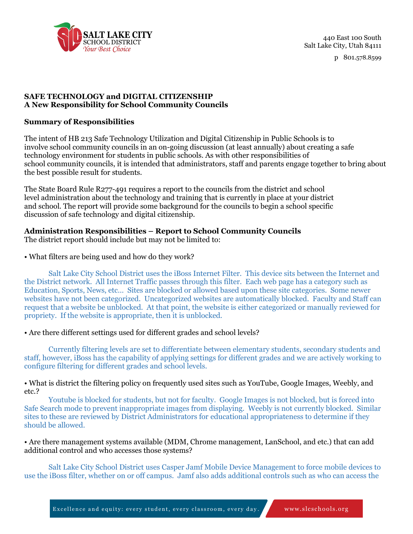

440 East 100 South Salt Lake City, Utah 84111

p 801.578.8599

# **SAFE TECHNOLOGY and DIGITAL CITIZENSHIP A New Responsibility for School Community Councils**

### **Summary of Responsibilities**

The intent of HB 213 Safe Technology Utilization and Digital Citizenship in Public Schools is to involve school community councils in an on-going discussion (at least annually) about creating a safe technology environment for students in public schools. As with other responsibilities of school community councils, it is intended that administrators, staff and parents engage together to bring about the best possible result for students.

The State Board Rule R277-491 requires a report to the councils from the district and school level administration about the technology and training that is currently in place at your district and school. The report will provide some background for the councils to begin a school specific discussion of safe technology and digital citizenship.

# **Administration Responsibilities – Report to School Community Councils**

The district report should include but may not be limited to:

# • What filters are being used and how do they work?

Salt Lake City School District uses the iBoss Internet Filter. This device sits between the Internet and the District network. All Internet Traffic passes through this filter. Each web page has a category such as Education, Sports, News, etc… Sites are blocked or allowed based upon these site categories. Some newer websites have not been categorized. Uncategorized websites are automatically blocked. Faculty and Staff can request that a website be unblocked. At that point, the website is either categorized or manually reviewed for propriety. If the website is appropriate, then it is unblocked.

# • Are there different settings used for different grades and school levels?

Currently filtering levels are set to differentiate between elementary students, secondary students and staff, however, iBoss has the capability of applying settings for different grades and we are actively working to configure filtering for different grades and school levels.

#### • What is district the filtering policy on frequently used sites such as YouTube, Google Images, Weebly, and etc.?

Youtube is blocked for students, but not for faculty. Google Images is not blocked, but is forced into Safe Search mode to prevent inappropriate images from displaying. Weebly is not currently blocked. Similar sites to these are reviewed by District Administrators for educational appropriateness to determine if they should be allowed.

### • Are there management systems available (MDM, Chrome management, LanSchool, and etc.) that can add additional control and who accesses those systems?

Salt Lake City School District uses Casper Jamf Mobile Device Management to force mobile devices to use the iBoss filter, whether on or off campus. Jamf also adds additional controls such as who can access the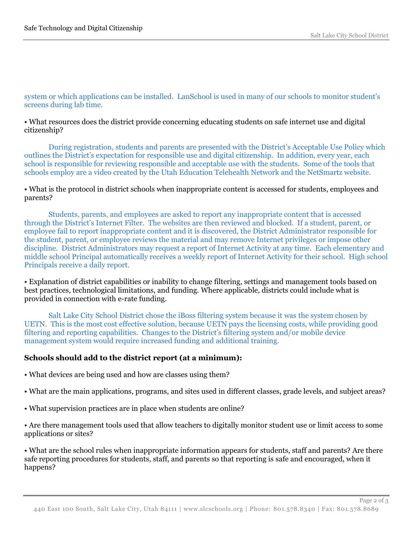system or which applications can be installed. LanSchool is used in many of our schools to monitor student's screens during lab time.

### • What resources does the district provide concerning educating students on safe internet use and digital citizenship?

During registration, students and parents are presented with the District's Acceptable Use Policy which outlines the District's expectation for responsible use and digital citizenship. In addition, every year, each school is responsible for reviewing responsible and acceptable use with the students. Some of the tools that schools employ are a video created by the Utah Education Telehealth Network and the NetSmartz website.

### • What is the protocol in district schools when inappropriate content is accessed for students, employees and parents?

Students, parents, and employees are asked to report any inappropriate content that is accessed through the District's Internet Filter. The websites are then reviewed and blocked. If a student, parent, or employee fail to report inappropriate content and it is discovered, the District Administrator responsible for the student, parent, or employee reviews the material and may remove Internet privileges or impose other discipline. District Administrators may request a report of Internet Activity at any time. Each elementary and middle school Principal automatically receives a weekly report of Internet Activity for their school. High school Principals receive a daily report.

• Explanation of district capabilities or inability to change filtering, settings and management tools based on best practices, technological limitations, and funding. Where applicable, districts could include what is provided in connection with e-rate funding.

Salt Lake City School District chose the iBoss filtering system because it was the system chosen by UETN. This is the most cost effective solution, because UETN pays the licensing costs, while providing good filtering and reporting capabilities. Changes to the District's filtering system and/or mobile device management system would require increased funding and additional training.

# **Schools should add to the district report (at a minimum):**

- What devices are being used and how are classes using them?
- What are the main applications, programs, and sites used in different classes, grade levels, and subject areas?
- What supervision practices are in place when students are online?

• Are there management tools used that allow teachers to digitally monitor student use or limit access to some applications or sites?

• What are the school rules when inappropriate information appears for students, staff and parents? Are there safe reporting procedures for students, staff, and parents so that reporting is safe and encouraged, when it happens?